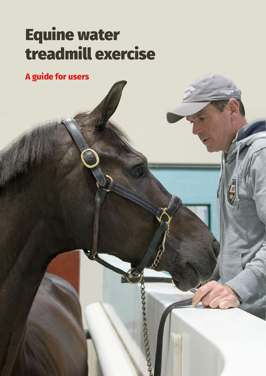# Equine water treadmill exercise

**A guide for users**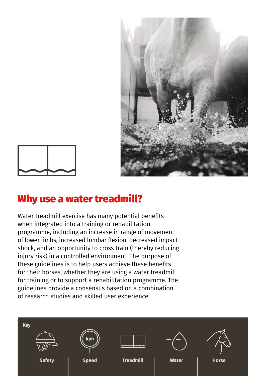



#### Why use a water treadmill?

Water treadmill exercise has many potential benefits when integrated into a training or rehabilitation programme, including an increase in range of movement of lower limbs, increased lumbar flexion, decreased impact shock, and an opportunity to cross train (thereby reducing injury risk) in a controlled environment. The purpose of these guidelines is to help users achieve these benefits for their horses, whether they are using a water treadmill for training or to support a rehabilitation programme. The guidelines provide a consensus based on a combination of research studies and skilled user experience.

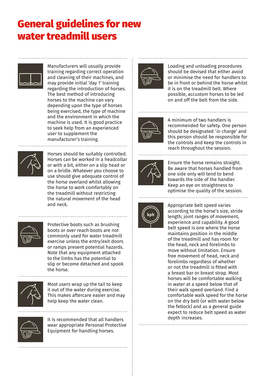# General guidelines for new water treadmill users



Manufacturers will usually provide training regarding correct operation and cleaning of their machines, and may provide initial 'day 1' training regarding the introduction of horses. The best method of introducing horses to the machine can vary depending upon the type of horses being exercised, the type of machine and the environment in which the machine is used. It is good practice to seek help from an experienced user to supplement the manufacturer's training.



Horses should be suitably controlled. Horses can be worked in a headcollar or with a bit, either on a slip head or on a bridle. Whatever you choose to use should give adequate control of the horse overland whilst allowing the horse to work comfortably on the treadmill without restricting the natural movement of the head and neck.



Protective boots such as brushing boots or over reach boots are not commonly used for water treadmill exercise unless the entry/exit doors or ramps present potential hazards. Note that any equipment attached to the limbs has the potential to slip or become detached and spook the horse.



Most users wrap up the tail to keep it out of the water during exercise. This makes aftercare easier and may help keep the water clean.



It is recommended that all handlers wear appropriate Personal Protective Equipment for handling horses.



Loading and unloading procedures should be devised that either avoid or minimise the need for handlers to be in front or behind the horse whilst it is on the treadmill belt. Where possible, accustom horses to be led on and off the belt from the side.



A minimum of two handlers is recommended for safety. One person should be designated 'in charge' and this person should be responsible for the controls and keep the controls in reach throughout the session.



Ensure the horse remains straight. Be aware that horses handled from one side only will tend to bend towards the side of the handler. Keep an eye on straightness to optimise the quality of the session. 



Appropriate belt speed varies according to the horse's size, stride length; joint ranges of movement, experience and capability. A good belt speed is one where the horse maintains position in the middle of the treadmill and has room for the head, neck and forelimbs to move without limitation. Ensure free movement of head, neck and forelimbs regardless of whether or not the treadmill is fitted with a breast bar or breast strap. Most horses will be comfortable walking in water at a speed below that of their walk speed overland. Find a comfortable walk speed for the horse on the dry belt (or with water below the fetlock) and as a general guide expect to reduce belt speed as water depth increases.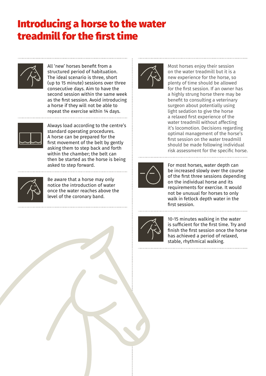### Introducing a horse to the water treadmill for the first time



All 'new' horses benefit from a structured period of habituation. The ideal scenario is three, short (up to 15 minute) sessions over three consecutive days. Aim to have the second session within the same week as the first session. Avoid introducing a horse if they will not be able to repeat the exercise within 14 days. 



Always load according to the centre's standard operating procedures. A horse can be prepared for the first movement of the belt by gently asking them to step back and forth within the chamber; the belt can then be started as the horse is being asked to step forward.



Be aware that a horse may only notice the introduction of water once the water reaches above the level of the coronary band.



Most horses enjoy their session on the water treadmill but it is a new experience for the horse, so plenty of time should be allowed for the first session. If an owner has a highly strung horse there may be benefit to consulting a veterinary surgeon about potentially using light sedation to give the horse a relaxed first experience of the water treadmill without affecting it's locomotion. Decisions regarding optimal management of the horse's first session on the water treadmill should be made following individual risk assessment for the specific horse.



For most horses, water depth can be increased slowly over the course of the first three sessions depending on the individual horse and its requirements for exercise. It would not be unusual for horses to only walk in fetlock depth water in the first session.



10-15 minutes walking in the water is sufficient for the first time. Try and finish the first session once the horse has achieved a period of relaxed, stable, rhythmical walking.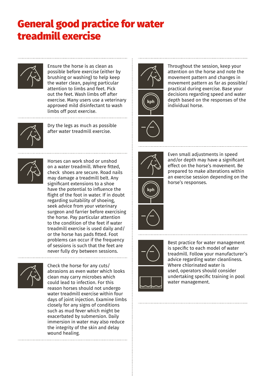## General good practice for water treadmill exercise



Ensure the horse is as clean as possible before exercise (either by brushing or washing) to help keep the water clean, paying particular attention to limbs and feet. Pick out the feet. Wash limbs off after exercise. Many users use a veterinary approved mild disinfectant to wash limbs off post exercise.



Dry the legs as much as possible after water treadmill exercise.



Horses can work shod or unshod on a water treadmill. Where fitted, check shoes are secure. Road nails may damage a treadmill belt. Any significant extensions to a shoe have the potential to influence the flight of the foot in water. If in doubt regarding suitability of shoeing, seek advice from your veterinary surgeon and farrier before exercising the horse. Pay particular attention to the condition of the feet if water treadmill exercise is used daily and/ or the horse has pads fitted. Foot problems can occur if the frequency of sessions is such that the feet are never fully dry between sessions.



Check the horse for any cuts/ abrasions as even water which looks clean may carry microbes which could lead to infection. For this reason horses should not undergo water treadmill exercise within four days of joint injection. Examine limbs closely for any signs of conditions such as mud fever which might be exacerbated by submersion. Daily immersion in water may also reduce the integrity of the skin and delay wound healing.



Throughout the session, keep your attention on the horse and note the movement pattern and changes in movement pattern as far as possible/ practical during exercise. Base your decisions regarding speed and water depth based on the responses of the individual horse.



Even small adjustments in speed and/or depth may have a significant effect on the horse's movement. Be prepared to make alterations within an exercise session depending on the horse's responses.





Best practice for water management is specific to each model of water treadmill. Follow your manufacturer's advice regarding water cleanliness. Where chlorinated water is used, operators should consider undertaking specific training in pool water management.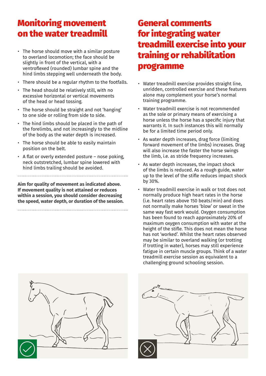#### Monitoring movement on the water treadmill

- The horse should move with a similar posture to overland locomotion; the face should be slightly in front of the vertical, with a ventroflexed (rounded) lumbar spine and the hind limbs stepping well underneath the body.
- There should be a regular rhythm to the footfalls.
- The head should be relatively still, with no excessive horizontal or vertical movements of the head or head tossing.
- The horse should be straight and not 'hanging' to one side or rolling from side to side.
- The hind limbs should be placed in the path of the forelimbs, and not increasingly to the midline of the body as the water depth is increased.
- The horse should be able to easily maintain position on the belt.
- A flat or overly extended posture nose poking, neck outstretched, lumbar spine lowered with hind limbs trailing should be avoided.

**Aim for quality of movement as indicated above. If movement quality is not attained or reduces within a session, you should consider decreasing the speed, water depth, or duration of the session.**

#### for integrating water treadmill exercise into your training or rehabilitation programme

General comments

- Water treadmill exercise provides straight line, unridden, controlled exercise and these features alone may complement your horse's normal training programme.
- Water treadmill exercise is not recommended as the sole or primary means of exercising a horse unless the horse has a specific injury that warrants it. In such instances this will normally be for a limited time period only.
- As water depth increases, drag force (limiting forward movement of the limbs) increases. Drag will also increase the faster the horse swings the limb, i.e. as stride frequency increases.
- As water depth increases, the impact shock of the limbs is reduced. As a rough guide, water up to the level of the stifle reduces impact shock by 30%.
- Water treadmill exercise in walk or trot does not normally produce high heart rates in the horse (i.e. heart rates above 150 beats/min) and does not normally make horses 'blow' or sweat in the same way fast work would. Oxygen consumption has been found to reach approximately 20% of maximum oxygen consumption with water at the height of the stifle. This does not mean the horse has not 'worked'. Whilst the heart rates observed may be similar to overland walking (or trotting if trotting in water), horses may still experience fatigue in certain muscle groups. Think of a water treadmill exercise session as equivalent to a challenging ground schooling session.